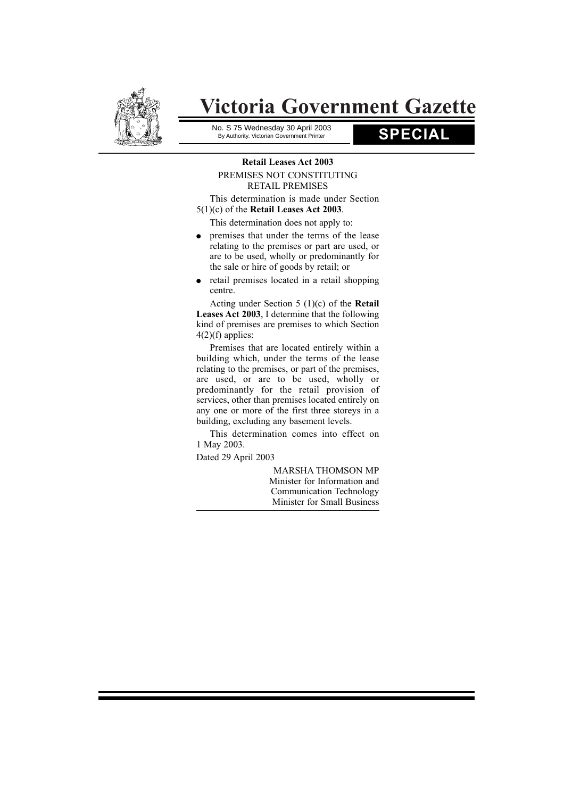

# **Victoria Government Gazette**

No. S 75 Wednesday 30 April 2003<br>By Authority. Victorian Government Printer<br>**SPECIAL** By Authority. Victorian Government Printer

## **Retail Leases Act 2003** PREMISES NOT CONSTITUTING RETAIL PREMISES

This determination is made under Section 5(1)(c) of the **Retail Leases Act 2003**.

This determination does not apply to:

- premises that under the terms of the lease relating to the premises or part are used, or are to be used, wholly or predominantly for the sale or hire of goods by retail; or
- $\bullet$  retail premises located in a retail shopping centre.

Acting under Section 5 (1)(c) of the **Retail Leases Act 2003**, I determine that the following kind of premises are premises to which Section  $4(2)(f)$  applies:

Premises that are located entirely within a building which, under the terms of the lease relating to the premises, or part of the premises, are used, or are to be used, wholly or predominantly for the retail provision of services, other than premises located entirely on any one or more of the first three storeys in a building, excluding any basement levels.

This determination comes into effect on 1 May 2003.

Dated 29 April 2003

MARSHA THOMSON MP Minister for Information and Communication Technology Minister for Small Business